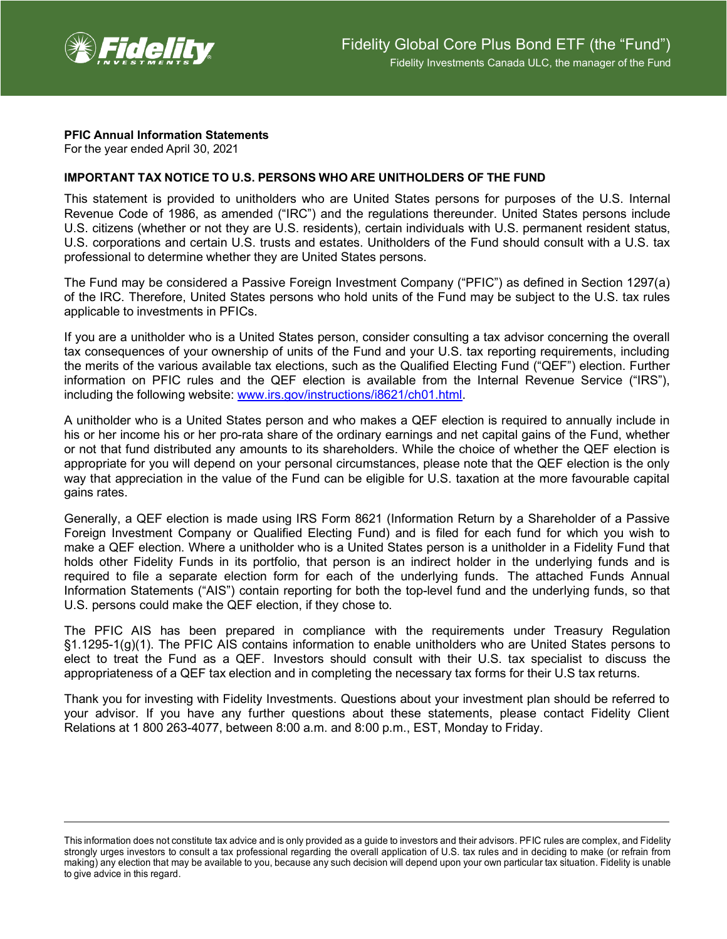

## **PFIC Annual Information Statements**

For the year ended April 30, 2021

## **IMPORTANT TAX NOTICE TO U.S. PERSONS WHO ARE UNITHOLDERS OF THE FUND**

This statement is provided to unitholders who are United States persons for purposes of the U.S. Internal Revenue Code of 1986, as amended ("IRC") and the regulations thereunder. United States persons include U.S. citizens (whether or not they are U.S. residents), certain individuals with U.S. permanent resident status, U.S. corporations and certain U.S. trusts and estates. Unitholders of the Fund should consult with a U.S. tax professional to determine whether they are United States persons.

The Fund may be considered a Passive Foreign Investment Company ("PFIC") as defined in Section 1297(a) of the IRC. Therefore, United States persons who hold units of the Fund may be subject to the U.S. tax rules applicable to investments in PFICs.

If you are a unitholder who is a United States person, consider consulting a tax advisor concerning the overall tax consequences of your ownership of units of the Fund and your U.S. tax reporting requirements, including the merits of the various available tax elections, such as the Qualified Electing Fund ("QEF") election. Further information on PFIC rules and the QEF election is available from the Internal Revenue Service ("IRS"), including the following website: [www.irs.gov/instructions/i8621/ch01.html.](http://www.irs.gov/instructions/i8621/ch01.html)

A unitholder who is a United States person and who makes a QEF election is required to annually include in his or her income his or her pro-rata share of the ordinary earnings and net capital gains of the Fund, whether or not that fund distributed any amounts to its shareholders. While the choice of whether the QEF election is appropriate for you will depend on your personal circumstances, please note that the QEF election is the only way that appreciation in the value of the Fund can be eligible for U.S. taxation at the more favourable capital gains rates.

Generally, a QEF election is made using IRS Form 8621 (Information Return by a Shareholder of a Passive Foreign Investment Company or Qualified Electing Fund) and is filed for each fund for which you wish to make a QEF election. Where a unitholder who is a United States person is a unitholder in a Fidelity Fund that holds other Fidelity Funds in its portfolio, that person is an indirect holder in the underlying funds and is required to file a separate election form for each of the underlying funds. The attached Funds Annual Information Statements ("AIS") contain reporting for both the top-level fund and the underlying funds, so that U.S. persons could make the QEF election, if they chose to.

The PFIC AIS has been prepared in compliance with the requirements under Treasury Regulation §1.1295-1(g)(1). The PFIC AIS contains information to enable unitholders who are United States persons to elect to treat the Fund as a QEF. Investors should consult with their U.S. tax specialist to discuss the appropriateness of a QEF tax election and in completing the necessary tax forms for their U.S tax returns.

Thank you for investing with Fidelity Investments. Questions about your investment plan should be referred to your advisor. If you have any further questions about these statements, please contact Fidelity Client Relations at 1 800 263-4077, between 8:00 a.m. and 8:00 p.m., EST, Monday to Friday.

This information does not constitute tax advice and is only provided as a guide to investors and their advisors. PFIC rules are complex, and Fidelity strongly urges investors to consult a tax professional regarding the overall application of U.S. tax rules and in deciding to make (or refrain from making) any election that may be available to you, because any such decision will depend upon your own particular tax situation. Fidelity is unable to give advice in this regard.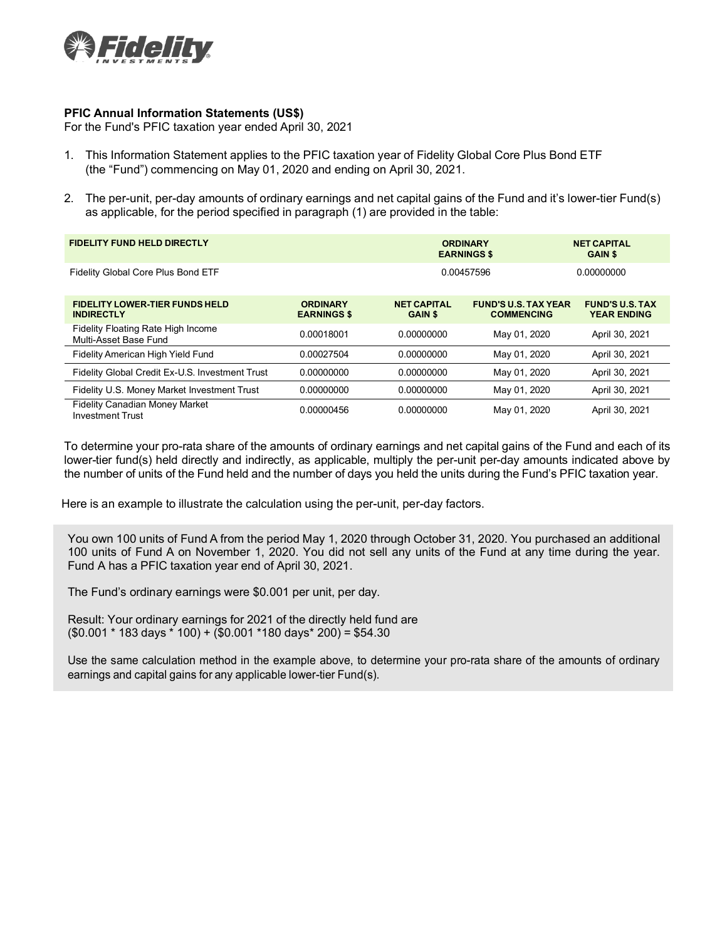

## **PFIC Annual Information Statements (US\$)**

For the Fund's PFIC taxation year ended April 30, 2021

- 1. This Information Statement applies to the PFIC taxation year of Fidelity Global Core Plus Bond ETF (the "Fund") commencing on May 01, 2020 and ending on April 30, 2021.
- 2. The per-unit, per-day amounts of ordinary earnings and net capital gains of the Fund and it's lower-tier Fund(s) as applicable, for the period specified in paragraph (1) are provided in the table:

| <b>FIDELITY FUND HELD DIRECTLY</b>                               |                                       | <b>ORDINARY</b><br><b>EARNINGS \$</b> |                                                  | <b>NET CAPITAL</b><br><b>GAIN \$</b>         |
|------------------------------------------------------------------|---------------------------------------|---------------------------------------|--------------------------------------------------|----------------------------------------------|
| Fidelity Global Core Plus Bond ETF                               |                                       | 0.00457596                            |                                                  | 0.00000000                                   |
| <b>FIDELITY LOWER-TIER FUNDS HELD</b><br><b>INDIRECTLY</b>       | <b>ORDINARY</b><br><b>EARNINGS \$</b> | <b>NET CAPITAL</b><br><b>GAIN \$</b>  | <b>FUND'S U.S. TAX YEAR</b><br><b>COMMENCING</b> | <b>FUND'S U.S. TAX</b><br><b>YEAR ENDING</b> |
| Fidelity Floating Rate High Income<br>Multi-Asset Base Fund      | 0.00018001                            | 0.00000000                            | May 01, 2020                                     | April 30, 2021                               |
| Fidelity American High Yield Fund                                | 0.00027504                            | 0.00000000                            | May 01, 2020                                     | April 30, 2021                               |
| Fidelity Global Credit Ex-U.S. Investment Trust                  | 0.00000000                            | 0.00000000                            | May 01, 2020                                     | April 30, 2021                               |
| Fidelity U.S. Money Market Investment Trust                      | 0.00000000                            | 0.00000000                            | May 01, 2020                                     | April 30, 2021                               |
| <b>Fidelity Canadian Money Market</b><br><b>Investment Trust</b> | 0.00000456                            | 0.00000000                            | May 01, 2020                                     | April 30, 2021                               |

To determine your pro-rata share of the amounts of ordinary earnings and net capital gains of the Fund and each of its lower-tier fund(s) held directly and indirectly, as applicable, multiply the per-unit per-day amounts indicated above by the number of units of the Fund held and the number of days you held the units during the Fund's PFIC taxation year.

Here is an example to illustrate the calculation using the per-unit, per-day factors.

You own 100 units of Fund A from the period May 1, 2020 through October 31, 2020. You purchased an additional 100 units of Fund A on November 1, 2020. You did not sell any units of the Fund at any time during the year. Fund A has a PFIC taxation year end of April 30, 2021.

The Fund's ordinary earnings were \$0.001 per unit, per day.

Result: Your ordinary earnings for 2021 of the directly held fund are  $($0.001 * 183 \text{ days} * 100) + ($0.001 * 180 \text{ days} * 200) = $54.30$ 

Use the same calculation method in the example above, to determine your pro-rata share of the amounts of ordinary earnings and capital gains for any applicable lower-tier Fund(s).